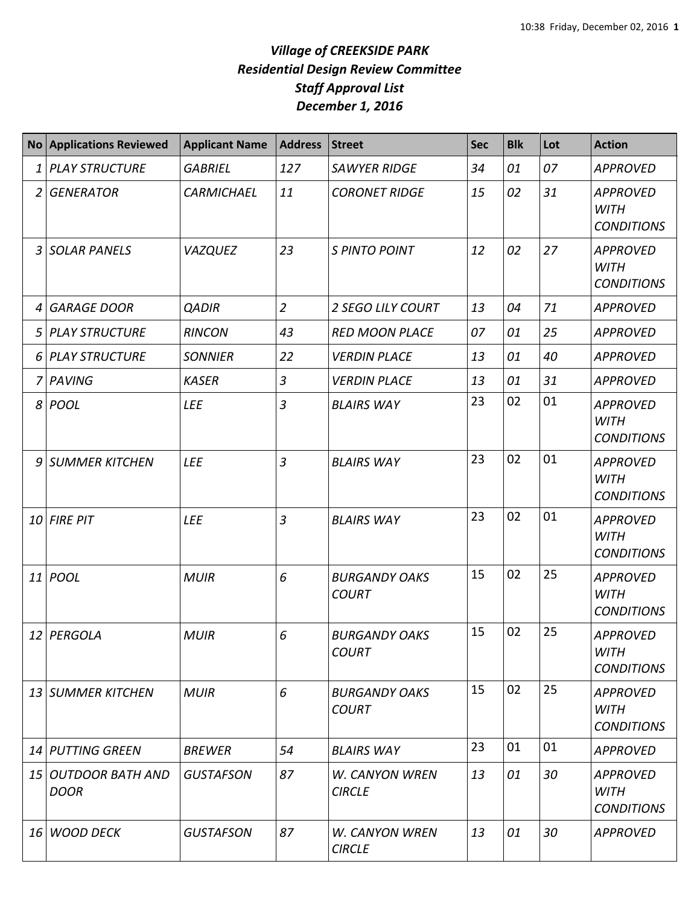|    | <b>No Applications Reviewed</b>    | <b>Applicant Name</b> | <b>Address</b> | <b>Street</b>                          | Sec | <b>Blk</b> | Lot | <b>Action</b>                                       |
|----|------------------------------------|-----------------------|----------------|----------------------------------------|-----|------------|-----|-----------------------------------------------------|
| 1  | <b>PLAY STRUCTURE</b>              | <b>GABRIEL</b>        | 127            | <b>SAWYER RIDGE</b>                    | 34  | 01         | 07  | <b>APPROVED</b>                                     |
| 2  | <b>GENERATOR</b>                   | <b>CARMICHAEL</b>     | 11             | <b>CORONET RIDGE</b>                   | 15  | 02         | 31  | <b>APPROVED</b><br><b>WITH</b><br><b>CONDITIONS</b> |
| 3  | <b>SOLAR PANELS</b>                | <b>VAZQUEZ</b>        | 23             | S PINTO POINT                          | 12  | 02         | 27  | <b>APPROVED</b><br><b>WITH</b><br><b>CONDITIONS</b> |
| 4  | <b>GARAGE DOOR</b>                 | <b>QADIR</b>          | $\overline{2}$ | <b>2 SEGO LILY COURT</b>               | 13  | 04         | 71  | <b>APPROVED</b>                                     |
| 5  | <b>PLAY STRUCTURE</b>              | <b>RINCON</b>         | 43             | <b>RED MOON PLACE</b>                  | 07  | 01         | 25  | <b>APPROVED</b>                                     |
| 6  | <b>PLAY STRUCTURE</b>              | <b>SONNIER</b>        | 22             | <b>VERDIN PLACE</b>                    | 13  | 01         | 40  | <b>APPROVED</b>                                     |
| 7  | PAVING                             | <b>KASER</b>          | $\overline{3}$ | <b>VERDIN PLACE</b>                    | 13  | 01         | 31  | <b>APPROVED</b>                                     |
| 8  | POOL                               | <b>LEE</b>            | $\overline{3}$ | <b>BLAIRS WAY</b>                      | 23  | 02         | 01  | <b>APPROVED</b><br><b>WITH</b><br><b>CONDITIONS</b> |
| 9  | <b>SUMMER KITCHEN</b>              | <b>LEE</b>            | 3              | <b>BLAIRS WAY</b>                      | 23  | 02         | 01  | <b>APPROVED</b><br><b>WITH</b><br><b>CONDITIONS</b> |
| 10 | <b>FIRE PIT</b>                    | <b>LEE</b>            | $\overline{3}$ | <b>BLAIRS WAY</b>                      | 23  | 02         | 01  | <b>APPROVED</b><br><b>WITH</b><br><b>CONDITIONS</b> |
|    | 11 <i>POOL</i>                     | <b>MUIR</b>           | 6              | <b>BURGANDY OAKS</b><br><b>COURT</b>   | 15  | 02         | 25  | <b>APPROVED</b><br><b>WITH</b><br><b>CONDITIONS</b> |
|    | 12 PERGOLA                         | <b>MUIR</b>           | 6              | <b>BURGANDY OAKS</b><br><b>COURT</b>   | 15  | 02         | 25  | <b>APPROVED</b><br><b>WITH</b><br><b>CONDITIONS</b> |
|    | 13 SUMMER KITCHEN                  | <b>MUIR</b>           | 6              | <b>BURGANDY OAKS</b><br><b>COURT</b>   | 15  | 02         | 25  | <b>APPROVED</b><br>WITH<br><b>CONDITIONS</b>        |
|    | 14 PUTTING GREEN                   | <b>BREWER</b>         | 54             | <b>BLAIRS WAY</b>                      | 23  | 01         | 01  | <b>APPROVED</b>                                     |
|    | 15 OUTDOOR BATH AND<br><b>DOOR</b> | <b>GUSTAFSON</b>      | 87             | <b>W. CANYON WREN</b><br><b>CIRCLE</b> | 13  | 01         | 30  | <b>APPROVED</b><br><b>WITH</b><br><b>CONDITIONS</b> |
| 16 | <b>WOOD DECK</b>                   | <b>GUSTAFSON</b>      | 87             | <b>W. CANYON WREN</b><br><b>CIRCLE</b> | 13  | 01         | 30  | <b>APPROVED</b>                                     |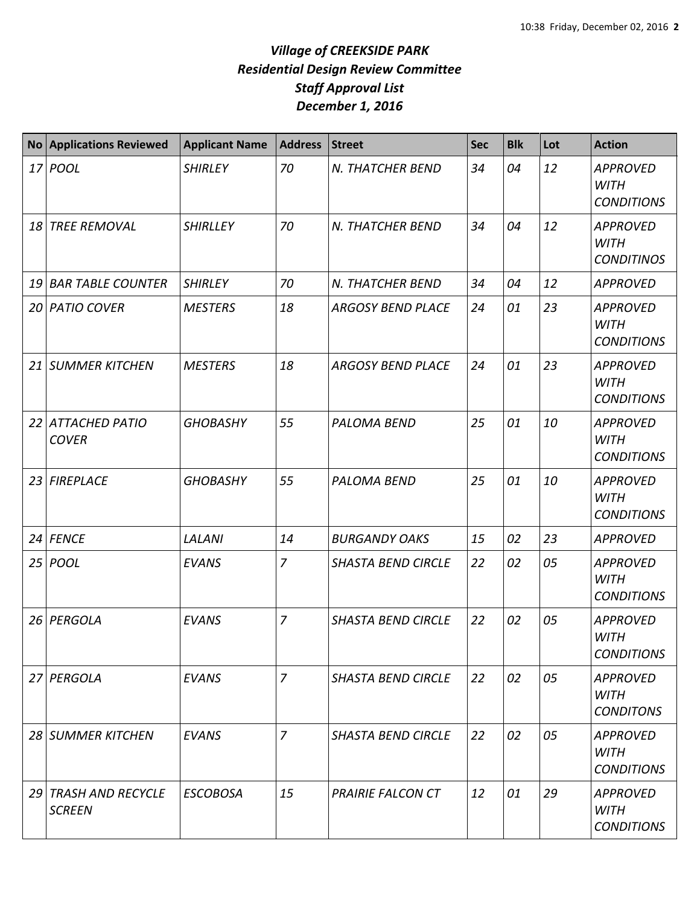|                 | <b>No Applications Reviewed</b>           | <b>Applicant Name</b> | <b>Address</b> | <b>Street</b>             | <b>Sec</b> | <b>Blk</b> | Lot | <b>Action</b>                                       |
|-----------------|-------------------------------------------|-----------------------|----------------|---------------------------|------------|------------|-----|-----------------------------------------------------|
|                 | 17 <i>POOL</i>                            | <b>SHIRLEY</b>        | 70             | N. THATCHER BEND          | 34         | 04         | 12  | <b>APPROVED</b><br><b>WITH</b><br><b>CONDITIONS</b> |
| 18              | <b>TREE REMOVAL</b>                       | <b>SHIRLLEY</b>       | 70             | N. THATCHER BEND          | 34         | 04         | 12  | <b>APPROVED</b><br><b>WITH</b><br><b>CONDITINOS</b> |
| 19              | <b>BAR TABLE COUNTER</b>                  | <b>SHIRLEY</b>        | 70             | N. THATCHER BEND          | 34         | 04         | 12  | <b>APPROVED</b>                                     |
| 20 <sub>l</sub> | <b>PATIO COVER</b>                        | <b>MESTERS</b>        | 18             | <b>ARGOSY BEND PLACE</b>  | 24         | 01         | 23  | <b>APPROVED</b><br><b>WITH</b><br><b>CONDITIONS</b> |
| 21 I            | <b>SUMMER KITCHEN</b>                     | <b>MESTERS</b>        | 18             | <b>ARGOSY BEND PLACE</b>  | 24         | 01         | 23  | <b>APPROVED</b><br><b>WITH</b><br><b>CONDITIONS</b> |
| 22              | <b>ATTACHED PATIO</b><br><b>COVER</b>     | <b>GHOBASHY</b>       | 55             | <b>PALOMA BEND</b>        | 25         | 01         | 10  | <b>APPROVED</b><br><b>WITH</b><br><b>CONDITIONS</b> |
| 23              | <b>FIREPLACE</b>                          | <b>GHOBASHY</b>       | 55             | PALOMA BEND               | 25         | 01         | 10  | <b>APPROVED</b><br><b>WITH</b><br><b>CONDITIONS</b> |
|                 | 24 FENCE                                  | <b>LALANI</b>         | 14             | <b>BURGANDY OAKS</b>      | 15         | 02         | 23  | <b>APPROVED</b>                                     |
| 25              | <b>POOL</b>                               | <b>EVANS</b>          | $\overline{7}$ | <b>SHASTA BEND CIRCLE</b> | 22         | 02         | 05  | <b>APPROVED</b><br><b>WITH</b><br><b>CONDITIONS</b> |
| 26              | PERGOLA                                   | <b>EVANS</b>          | $\overline{7}$ | <b>SHASTA BEND CIRCLE</b> | 22         | 02         | 05  | <b>APPROVED</b><br><b>WITH</b><br><b>CONDITIONS</b> |
|                 | 27 PERGOLA                                | <b>EVANS</b>          | $\overline{7}$ | <b>SHASTA BEND CIRCLE</b> | 22         | 02         | 05  | <b>APPROVED</b><br><b>WITH</b><br><b>CONDITONS</b>  |
|                 | 28 SUMMER KITCHEN                         | <b>EVANS</b>          | $\overline{z}$ | <b>SHASTA BEND CIRCLE</b> | 22         | 02         | 05  | <b>APPROVED</b><br><b>WITH</b><br><b>CONDITIONS</b> |
| 29              | <b>TRASH AND RECYCLE</b><br><b>SCREEN</b> | <b>ESCOBOSA</b>       | 15             | <b>PRAIRIE FALCON CT</b>  | 12         | 01         | 29  | <b>APPROVED</b><br><b>WITH</b><br><b>CONDITIONS</b> |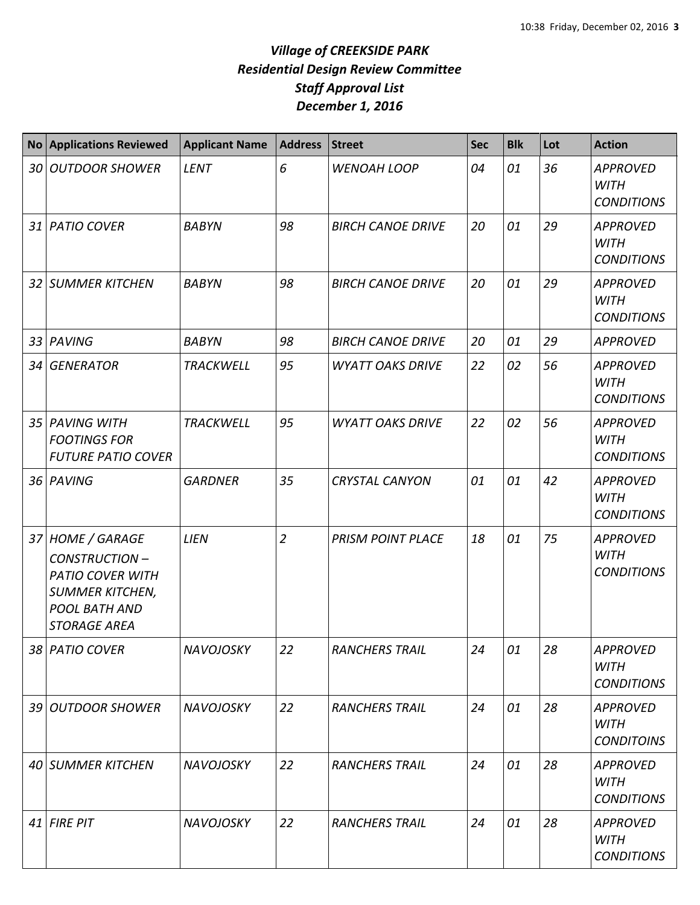| <b>No</b> | <b>Applications Reviewed</b>                                                                                                          | <b>Applicant Name</b> | <b>Address</b> | <b>Street</b>            | <b>Sec</b> | <b>Blk</b> | Lot | <b>Action</b>                                       |
|-----------|---------------------------------------------------------------------------------------------------------------------------------------|-----------------------|----------------|--------------------------|------------|------------|-----|-----------------------------------------------------|
|           | 30 OUTDOOR SHOWER                                                                                                                     | <b>LENT</b>           | 6              | WENOAH LOOP              | 04         | 01         | 36  | <b>APPROVED</b><br><b>WITH</b><br><b>CONDITIONS</b> |
|           | 31 PATIO COVER                                                                                                                        | <b>BABYN</b>          | 98             | <b>BIRCH CANOE DRIVE</b> | 20         | 01         | 29  | <b>APPROVED</b><br><b>WITH</b><br><b>CONDITIONS</b> |
|           | 32 SUMMER KITCHEN                                                                                                                     | <b>BABYN</b>          | 98             | <b>BIRCH CANOE DRIVE</b> | 20         | 01         | 29  | <b>APPROVED</b><br><b>WITH</b><br><b>CONDITIONS</b> |
|           | 33 PAVING                                                                                                                             | <b>BABYN</b>          | 98             | <b>BIRCH CANOE DRIVE</b> | 20         | 01         | 29  | <b>APPROVED</b>                                     |
|           | 34 GENERATOR                                                                                                                          | <b>TRACKWELL</b>      | 95             | <b>WYATT OAKS DRIVE</b>  | 22         | 02         | 56  | <b>APPROVED</b><br><b>WITH</b><br><b>CONDITIONS</b> |
|           | 35 PAVING WITH<br><b>FOOTINGS FOR</b><br><b>FUTURE PATIO COVER</b>                                                                    | <b>TRACKWELL</b>      | 95             | <b>WYATT OAKS DRIVE</b>  | 22         | 02         | 56  | <b>APPROVED</b><br><b>WITH</b><br><b>CONDITIONS</b> |
|           | 36 PAVING                                                                                                                             | <b>GARDNER</b>        | 35             | <b>CRYSTAL CANYON</b>    | 01         | 01         | 42  | <b>APPROVED</b><br><b>WITH</b><br><b>CONDITIONS</b> |
|           | 37 HOME / GARAGE<br><b>CONSTRUCTION-</b><br><b>PATIO COVER WITH</b><br><b>SUMMER KITCHEN,</b><br>POOL BATH AND<br><b>STORAGE AREA</b> | <b>LIEN</b>           | $\overline{2}$ | <b>PRISM POINT PLACE</b> | 18         | 01         | 75  | <b>APPROVED</b><br><b>WITH</b><br><b>CONDITIONS</b> |
|           | 38 PATIO COVER                                                                                                                        | <b>NAVOJOSKY</b>      | 22             | <b>RANCHERS TRAIL</b>    | 24         | 01         | 28  | <b>APPROVED</b><br><b>WITH</b><br><b>CONDITIONS</b> |
|           | 39 OUTDOOR SHOWER                                                                                                                     | <b>NAVOJOSKY</b>      | 22             | <b>RANCHERS TRAIL</b>    | 24         | 01         | 28  | <b>APPROVED</b><br><b>WITH</b><br><b>CONDITOINS</b> |
|           | 40 SUMMER KITCHEN                                                                                                                     | <b>NAVOJOSKY</b>      | 22             | <b>RANCHERS TRAIL</b>    | 24         | 01         | 28  | <b>APPROVED</b><br><b>WITH</b><br><b>CONDITIONS</b> |
|           | $41$ FIRE PIT                                                                                                                         | <b>NAVOJOSKY</b>      | 22             | <b>RANCHERS TRAIL</b>    | 24         | 01         | 28  | <b>APPROVED</b><br><b>WITH</b><br><b>CONDITIONS</b> |